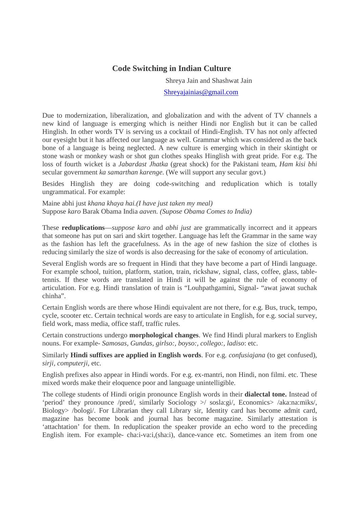## **Code Switching in Indian Culture**

Shreya Jain and Shashwat Jain

Shreyajainias@gmail.com

Due to modernization, liberalization, and globalization and with the advent of TV channels a new kind of language is emerging which is neither Hindi nor English but it can be called Hinglish. In other words TV is serving us a cocktail of Hindi-English. TV has not only affected our eyesight but it has affected our language as well. Grammar which was considered as the back bone of a language is being neglected. A new culture is emerging which in their skintight or stone wash or monkey wash or shot gun clothes speaks Hinglish with great pride. For e.g. The loss of fourth wicket is a *Jabardast Jhatka* (great shock) for the Pakistani team, *Ham kisi bhi* secular government *ka samarthan karenge*. (We will support any secular govt.)

Besides Hinglish they are doing code-switching and reduplication which is totally ungrammatical. For example:

Maine abhi just *khana khaya hai.(I have just taken my meal)* Suppose *karo* Barak Obama India *aaven. (Supose Obama Comes to India)* 

These **reduplications**—*suppose karo* and *abhi just* are grammatically incorrect and it appears that someone has put on sari and skirt together. Language has left the Grammar in the same way as the fashion has left the gracefulness. As in the age of new fashion the size of clothes is reducing similarly the size of words is also decreasing for the sake of economy of articulation.

Several English words are so frequent in Hindi that they have become a part of Hindi language. For example school, tuition, platform, station, train, rickshaw, signal, class, coffee, glass, tabletennis. If these words are translated in Hindi it will be against the rule of economy of articulation. For e.g. Hindi translation of train is "Louhpathgamini, Signal- "awat jawat suchak chinha".

Certain English words are there whose Hindi equivalent are not there, for e.g. Bus, truck, tempo, cycle, scooter etc. Certain technical words are easy to articulate in English, for e.g. social survey, field work, mass media, office staff, traffic rules.

Certain constructions undergo **morphological changes**. We find Hindi plural markers to English nouns. For example- *Samosas, Gundas, girlso:, boyso:, collego:, ladiso*: etc.

Similarly **Hindi suffixes are applied in English words**. For e.g*. confusiajana* (to get confused), *sirji, computerji*, etc.

English prefixes also appear in Hindi words. For e.g. ex-mantri, non Hindi, non filmi. etc. These mixed words make their eloquence poor and language unintelligible.

The college students of Hindi origin pronounce English words in their **dialectal tone.** Instead of 'period' they pronounce /pred/, similarly Sociology >/ sosla:gi/, Economics> /aka:na:miks/, Biology> /bologi/. For Librarian they call Library sir, Identity card has become admit card, magazine has become book and journal has become magazine. Similarly attestation is 'attachtation' for them. In reduplication the speaker provide an echo word to the preceding English item. For example- cha:i-va:i,(sha:i), dance-vance etc. Sometimes an item from one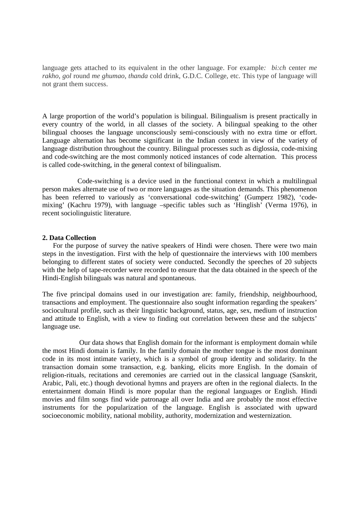language gets attached to its equivalent in the other language. For example*: bi:ch* center *me rakho*, *gol* round *me ghumao*, *thanda* cold drink, G.D.C. College, etc. This type of language will not grant them success.

A large proportion of the world's population is bilingual. Bilingualism is present practically in every country of the world, in all classes of the society. A bilingual speaking to the other bilingual chooses the language unconsciously semi-consciously with no extra time or effort. Language alternation has become significant in the Indian context in view of the variety of language distribution throughout the country. Bilingual processes such as diglossia, code-mixing and code-switching are the most commonly noticed instances of code alternation. This process is called code-switching, in the general context of bilingualism.

 Code-switching is a device used in the functional context in which a multilingual person makes alternate use of two or more languages as the situation demands. This phenomenon has been referred to variously as 'conversational code-switching' (Gumperz 1982), 'codemixing' (Kachru 1979), with language –specific tables such as 'Hinglish' (Verma 1976), in recent sociolinguistic literature.

## **2. Data Collection**

 For the purpose of survey the native speakers of Hindi were chosen. There were two main steps in the investigation. First with the help of questionnaire the interviews with 100 members belonging to different states of society were conducted. Secondly the speeches of 20 subjects with the help of tape-recorder were recorded to ensure that the data obtained in the speech of the Hindi-English bilinguals was natural and spontaneous.

The five principal domains used in our investigation are: family, friendship, neighbourhood, transactions and employment. The questionnaire also sought information regarding the speakers' sociocultural profile, such as their linguistic background, status, age, sex, medium of instruction and attitude to English, with a view to finding out correlation between these and the subjects' language use.

 Our data shows that English domain for the informant is employment domain while the most Hindi domain is family. In the family domain the mother tongue is the most dominant code in its most intimate variety, which is a symbol of group identity and solidarity. In the transaction domain some transaction, e.g. banking, elicits more English. In the domain of religion-rituals, recitations and ceremonies are carried out in the classical language (Sanskrit, Arabic, Pali, etc.) though devotional hymns and prayers are often in the regional dialects. In the entertainment domain Hindi is more popular than the regional languages or English. Hindi movies and film songs find wide patronage all over India and are probably the most effective instruments for the popularization of the language. English is associated with upward socioeconomic mobility, national mobility, authority, modernization and westernization.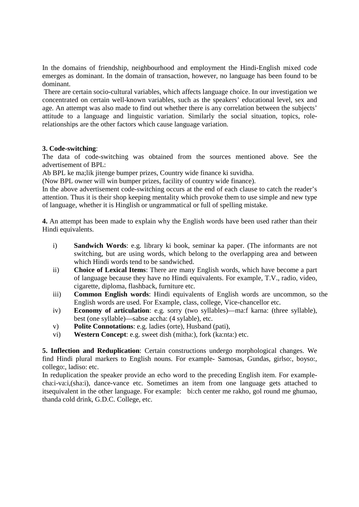In the domains of friendship, neighbourhood and employment the Hindi-English mixed code emerges as dominant. In the domain of transaction, however, no language has been found to be dominant.

 There are certain socio-cultural variables, which affects language choice. In our investigation we concentrated on certain well-known variables, such as the speakers' educational level, sex and age. An attempt was also made to find out whether there is any correlation between the subjects' attitude to a language and linguistic variation. Similarly the social situation, topics, rolerelationships are the other factors which cause language variation.

## **3. Code-switching**:

The data of code-switching was obtained from the sources mentioned above. See the advertisement of BPL:

Ab BPL ke ma;lik jitenge bumper prizes, Country wide finance ki suvidha.

(Now BPL owner will win bumper prizes, facility of country wide finance).

In the above advertisement code-switching occurs at the end of each clause to catch the reader's attention. Thus it is their shop keeping mentality which provoke them to use simple and new type of language, whether it is Hinglish or ungrammatical or full of spelling mistake.

**4.** An attempt has been made to explain why the English words have been used rather than their Hindi equivalents.

- i) **Sandwich Words**: e.g. library ki book, seminar ka paper. (The informants are not switching, but are using words, which belong to the overlapping area and between which Hindi words tend to be sandwiched.
- ii) **Choice of Lexical Items**: There are many English words, which have become a part of language because they have no Hindi equivalents. For example, T.V., radio, video, cigarette, diploma, flashback, furniture etc.
- iii) **Common English words**: Hindi equivalents of English words are uncommon, so the English words are used. For Example, class, college, Vice-chancellor etc.
- iv) **Economy of articulation**: e.g. sorry (two syllables)—ma:f karna: (three syllable), best (one syllable)—sabse accha: (4 sylable), etc.
- v) **Polite Connotations**: e.g. ladies (orte), Husband (pati),
- vi) **Western Concept**: e.g. sweet dish (mitha:), fork (ka:nta:) etc.

**5. Inflection and Reduplication**: Certain constructions undergo morphological changes. We find Hindi plural markers to English nouns. For example- Samosas, Gundas, girlso:, boyso:, collego:, ladiso: etc.

In reduplication the speaker provide an echo word to the preceding English item. For examplecha:i-va:i,(sha:i), dance-vance etc. Sometimes an item from one language gets attached to itsequivalent in the other language. For example: bi:ch center me rakho, gol round me ghumao, thanda cold drink, G.D.C. College, etc.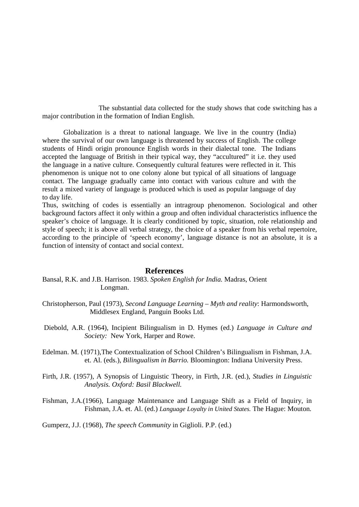The substantial data collected for the study shows that code switching has a major contribution in the formation of Indian English.

Globalization is a threat to national language. We live in the country (India) where the survival of our own language is threatened by success of English. The college students of Hindi origin pronounce English words in their dialectal tone. The Indians accepted the language of British in their typical way, they "accultured" it i.e. they used the language in a native culture. Consequently cultural features were reflected in it. This phenomenon is unique not to one colony alone but typical of all situations of language contact. The language gradually came into contact with various culture and with the result a mixed variety of language is produced which is used as popular language of day to day life.

Thus, switching of codes is essentially an intragroup phenomenon. Sociological and other background factors affect it only within a group and often individual characteristics influence the speaker's choice of language. It is clearly conditioned by topic, situation, role relationship and style of speech; it is above all verbal strategy, the choice of a speaker from his verbal repertoire, according to the principle of 'speech economy', language distance is not an absolute, it is a function of intensity of contact and social context.

## **References**

 Bansal, R.K. and J.B. Harrison. 1983. *Spoken English for India.* Madras, Orient Longman.

- Christopherson, Paul (1973), *Second Language Learning Myth and reality*: Harmondsworth, Middlesex England, Panguin Books Ltd.
- Diebold, A.R. (1964), Incipient Bilingualism in D. Hymes (ed.) *Language in Culture and Society:* New York, Harper and Rowe.
- Edelman. M. (1971),The Contextualization of School Children's Bilingualism in Fishman, J.A. et. Al. (eds.), *Bilingualism in Barrio.* Bloomington: Indiana University Press.
- Firth, J.R. (1957), A Synopsis of Linguistic Theory, in Firth, J.R. (ed.), *Studies in Linguistic Analysis. Oxford: Basil Blackwell.*
- Fishman, J.A.(1966), Language Maintenance and Language Shift as a Field of Inquiry, in Fishman, J.A. et. Al. (ed.) *Language Loyalty in United States.* The Hague: Mouton*.*

Gumperz, J.J. (1968), *The speech Community* in Giglioli. P.P. (ed.)